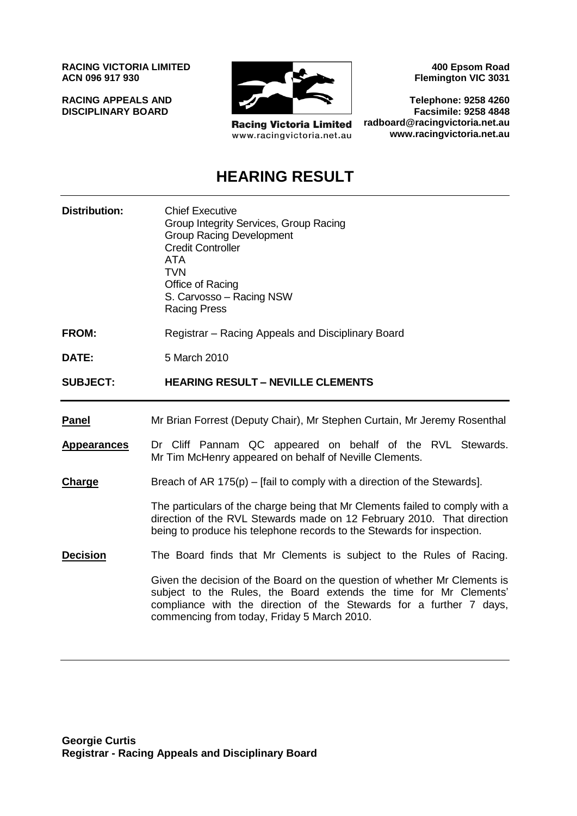**RACING VICTORIA LIMITED ACN 096 917 930**

**RACING APPEALS AND DISCIPLINARY BOARD**



**Racing Victoria Limited** www.racingvictoria.net.au

**400 Epsom Road Flemington VIC 3031**

**Telephone: 9258 4260 Facsimile: 9258 4848 radboard@racingvictoria.net.au www.racingvictoria.net.au**

## **HEARING RESULT**

**Distribution:** Chief Executive Group Integrity Services, Group Racing Group Racing Development Credit Controller ATA **TVN** Office of Racing S. Carvosso – Racing NSW Racing Press **FROM:** Registrar – Racing Appeals and Disciplinary Board **DATE:** 5 March 2010 **SUBJECT: HEARING RESULT – NEVILLE CLEMENTS Panel** Mr Brian Forrest (Deputy Chair), Mr Stephen Curtain, Mr Jeremy Rosenthal **Appearances** Dr Cliff Pannam QC appeared on behalf of the RVL Stewards. Mr Tim McHenry appeared on behalf of Neville Clements. **Charge** Breach of AR 175(p) – [fail to comply with a direction of the Stewards]. The particulars of the charge being that Mr Clements failed to comply with a direction of the RVL Stewards made on 12 February 2010. That direction being to produce his telephone records to the Stewards for inspection. **Decision** The Board finds that Mr Clements is subject to the Rules of Racing. Given the decision of the Board on the question of whether Mr Clements is subject to the Rules, the Board extends the time for Mr Clements' compliance with the direction of the Stewards for a further 7 days, commencing from today, Friday 5 March 2010.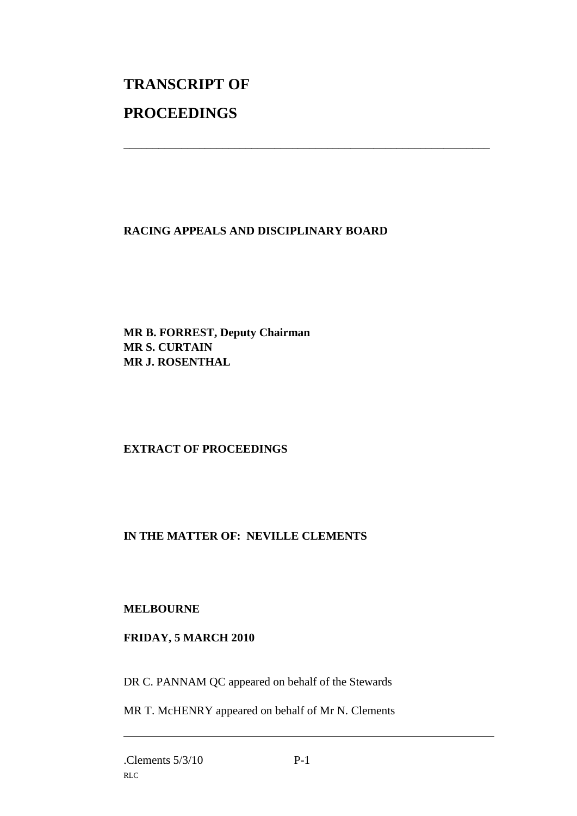# **TRANSCRIPT OF PROCEEDINGS**

#### **RACING APPEALS AND DISCIPLINARY BOARD**

\_\_\_\_\_\_\_\_\_\_\_\_\_\_\_\_\_\_\_\_\_\_\_\_\_\_\_\_\_\_\_\_\_\_\_\_\_\_\_\_\_\_\_\_\_\_\_\_\_\_\_\_\_\_\_\_\_\_\_\_\_\_\_

**MR B. FORREST, Deputy Chairman MR S. CURTAIN MR J. ROSENTHAL**

#### **EXTRACT OF PROCEEDINGS**

#### **IN THE MATTER OF: NEVILLE CLEMENTS**

#### **MELBOURNE**

#### **FRIDAY, 5 MARCH 2010**

DR C. PANNAM QC appeared on behalf of the Stewards

MR T. McHENRY appeared on behalf of Mr N. Clements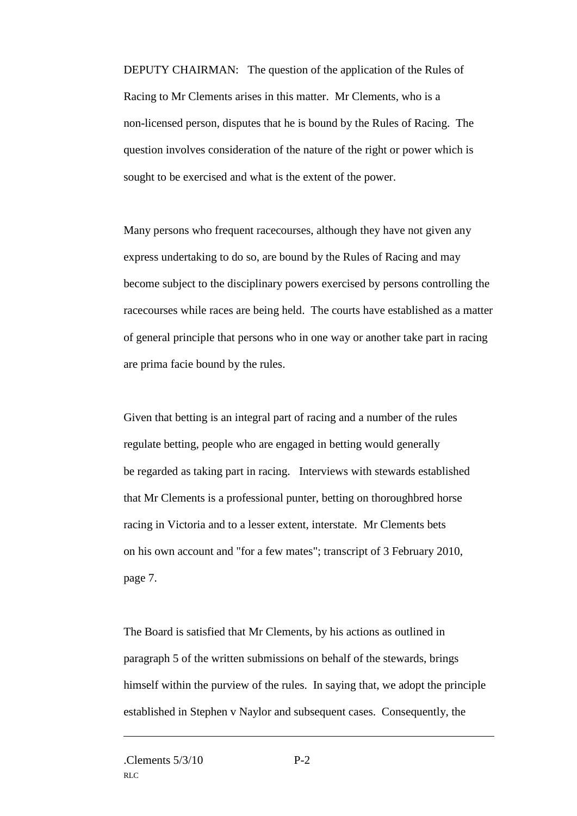DEPUTY CHAIRMAN: The question of the application of the Rules of Racing to Mr Clements arises in this matter. Mr Clements, who is a non-licensed person, disputes that he is bound by the Rules of Racing. The question involves consideration of the nature of the right or power which is sought to be exercised and what is the extent of the power.

Many persons who frequent racecourses, although they have not given any express undertaking to do so, are bound by the Rules of Racing and may become subject to the disciplinary powers exercised by persons controlling the racecourses while races are being held. The courts have established as a matter of general principle that persons who in one way or another take part in racing are prima facie bound by the rules.

Given that betting is an integral part of racing and a number of the rules regulate betting, people who are engaged in betting would generally be regarded as taking part in racing. Interviews with stewards established that Mr Clements is a professional punter, betting on thoroughbred horse racing in Victoria and to a lesser extent, interstate. Mr Clements bets on his own account and "for a few mates"; transcript of 3 February 2010, page 7.

The Board is satisfied that Mr Clements, by his actions as outlined in paragraph 5 of the written submissions on behalf of the stewards, brings himself within the purview of the rules. In saying that, we adopt the principle established in Stephen v Naylor and subsequent cases. Consequently, the